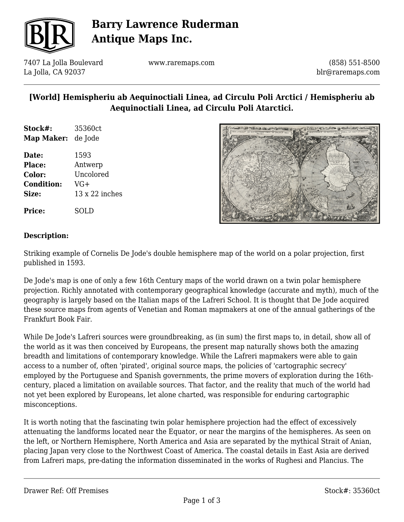

# **Barry Lawrence Ruderman Antique Maps Inc.**

7407 La Jolla Boulevard La Jolla, CA 92037

www.raremaps.com

(858) 551-8500 blr@raremaps.com

### **[World] Hemispheriu ab Aequinoctiali Linea, ad Circulu Poli Arctici / Hemispheriu ab Aequinoctiali Linea, ad Circulu Poli Atarctici.**

| Stock#:                   | 35360ct |
|---------------------------|---------|
| <b>Map Maker:</b> de Jode |         |
|                           |         |

**Date:** 1593 **Place:** Antwerp **Color:** Uncolored **Condition:** VG+ **Size:** 13 x 22 inches

**Price:** SOLD



#### **Description:**

Striking example of Cornelis De Jode's double hemisphere map of the world on a polar projection, first published in 1593.

De Jode's map is one of only a few 16th Century maps of the world drawn on a twin polar hemisphere projection. Richly annotated with contemporary geographical knowledge (accurate and myth), much of the geography is largely based on the Italian maps of the Lafreri School. It is thought that De Jode acquired these source maps from agents of Venetian and Roman mapmakers at one of the annual gatherings of the Frankfurt Book Fair.

While De Jode's Lafreri sources were groundbreaking, as (in sum) the first maps to, in detail, show all of the world as it was then conceived by Europeans, the present map naturally shows both the amazing breadth and limitations of contemporary knowledge. While the Lafreri mapmakers were able to gain access to a number of, often 'pirated', original source maps, the policies of 'cartographic secrecy' employed by the Portuguese and Spanish governments, the prime movers of exploration during the 16thcentury, placed a limitation on available sources. That factor, and the reality that much of the world had not yet been explored by Europeans, let alone charted, was responsible for enduring cartographic misconceptions.

It is worth noting that the fascinating twin polar hemisphere projection had the effect of excessively attenuating the landforms located near the Equator, or near the margins of the hemispheres. As seen on the left, or Northern Hemisphere, North America and Asia are separated by the mythical Strait of Anian, placing Japan very close to the Northwest Coast of America. The coastal details in East Asia are derived from Lafreri maps, pre-dating the information disseminated in the works of Rughesi and Plancius. The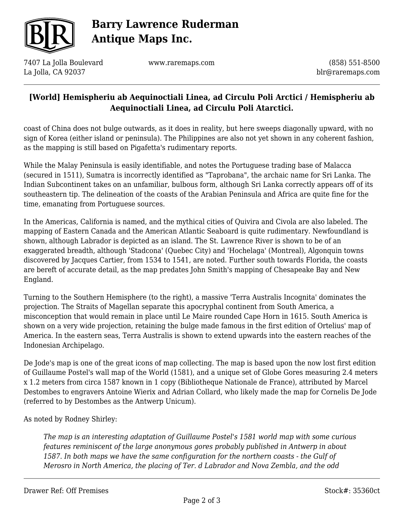

# **Barry Lawrence Ruderman Antique Maps Inc.**

7407 La Jolla Boulevard La Jolla, CA 92037

www.raremaps.com

(858) 551-8500 blr@raremaps.com

#### **[World] Hemispheriu ab Aequinoctiali Linea, ad Circulu Poli Arctici / Hemispheriu ab Aequinoctiali Linea, ad Circulu Poli Atarctici.**

coast of China does not bulge outwards, as it does in reality, but here sweeps diagonally upward, with no sign of Korea (either island or peninsula). The Philippines are also not yet shown in any coherent fashion, as the mapping is still based on Pigafetta's rudimentary reports.

While the Malay Peninsula is easily identifiable, and notes the Portuguese trading base of Malacca (secured in 1511), Sumatra is incorrectly identified as "Taprobana", the archaic name for Sri Lanka. The Indian Subcontinent takes on an unfamiliar, bulbous form, although Sri Lanka correctly appears off of its southeastern tip. The delineation of the coasts of the Arabian Peninsula and Africa are quite fine for the time, emanating from Portuguese sources.

In the Americas, California is named, and the mythical cities of Quivira and Civola are also labeled. The mapping of Eastern Canada and the American Atlantic Seaboard is quite rudimentary. Newfoundland is shown, although Labrador is depicted as an island. The St. Lawrence River is shown to be of an exaggerated breadth, although 'Stadcona' (Quebec City) and 'Hochelaga' (Montreal), Algonquin towns discovered by Jacques Cartier, from 1534 to 1541, are noted. Further south towards Florida, the coasts are bereft of accurate detail, as the map predates John Smith's mapping of Chesapeake Bay and New England.

Turning to the Southern Hemisphere (to the right), a massive 'Terra Australis Incognita' dominates the projection. The Straits of Magellan separate this apocryphal continent from South America, a misconception that would remain in place until Le Maire rounded Cape Horn in 1615. South America is shown on a very wide projection, retaining the bulge made famous in the first edition of Ortelius' map of America. In the eastern seas, Terra Australis is shown to extend upwards into the eastern reaches of the Indonesian Archipelago.

De Jode's map is one of the great icons of map collecting. The map is based upon the now lost first edition of Guillaume Postel's wall map of the World (1581), and a unique set of Globe Gores measuring 2.4 meters x 1.2 meters from circa 1587 known in 1 copy (Bibliotheque Nationale de France), attributed by Marcel Destombes to engravers Antoine Wierix and Adrian Collard, who likely made the map for Cornelis De Jode (referred to by Destombes as the Antwerp Unicum).

As noted by Rodney Shirley:

*The map is an interesting adaptation of Guillaume Postel's 1581 world map with some curious features reminiscent of the large anonymous gores probably published in Antwerp in about 1587. In both maps we have the same configuration for the northern coasts - the Gulf of Merosro in North America, the placing of Ter. d Labrador and Nova Zembla, and the odd*